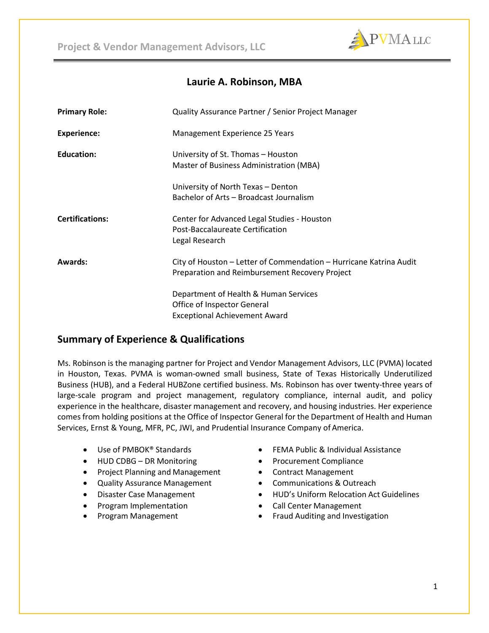

# **Laurie A. Robinson, MBA**

| <b>Primary Role:</b>   | Quality Assurance Partner / Senior Project Manager                                                                   |
|------------------------|----------------------------------------------------------------------------------------------------------------------|
| Experience:            | Management Experience 25 Years                                                                                       |
| <b>Education:</b>      | University of St. Thomas - Houston<br>Master of Business Administration (MBA)                                        |
|                        | University of North Texas - Denton<br>Bachelor of Arts – Broadcast Journalism                                        |
| <b>Certifications:</b> | Center for Advanced Legal Studies - Houston<br>Post-Baccalaureate Certification<br>Legal Research                    |
| Awards:                | City of Houston - Letter of Commendation - Hurricane Katrina Audit<br>Preparation and Reimbursement Recovery Project |
|                        | Department of Health & Human Services<br>Office of Inspector General<br><b>Exceptional Achievement Award</b>         |

# **Summary of Experience & Qualifications**

Ms. Robinson is the managing partner for Project and Vendor Management Advisors, LLC (PVMA) located in Houston, Texas. PVMA is woman-owned small business, State of Texas Historically Underutilized Business (HUB), and a Federal HUBZone certified business. Ms. Robinson has over twenty-three years of large-scale program and project management, regulatory compliance, internal audit, and policy experience in the healthcare, disaster management and recovery, and housing industries. Her experience comes from holding positions at the Office of Inspector General for the Department of Health and Human Services, Ernst & Young, MFR, PC, JWI, and Prudential Insurance Company of America.

- Use of PMBOK® Standards
- HUD CDBG DR Monitoring
- Project Planning and Management
- Quality Assurance Management
- Disaster Case Management
- Program Implementation
- Program Management
- FEMA Public & Individual Assistance
- Procurement Compliance
- Contract Management
- Communications & Outreach
- HUD's Uniform Relocation Act Guidelines
- Call Center Management
- Fraud Auditing and Investigation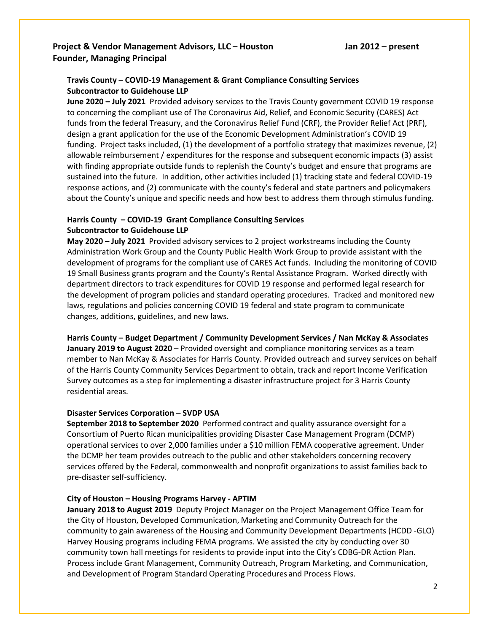## **Project & Vendor Management Advisors, LLC – Houston Jan 2012 – present Founder, Managing Principal**

## **Travis County – COVID-19 Management & Grant Compliance Consulting Services Subcontractor to Guidehouse LLP**

**June 2020 – July 2021** Provided advisory services to the Travis County government COVID 19 response to concerning the compliant use of The Coronavirus Aid, Relief, and Economic Security (CARES) Act funds from the federal Treasury, and the Coronavirus Relief Fund (CRF), the Provider Relief Act (PRF), design a grant application for the use of the Economic Development Administration's COVID 19 funding. Project tasks included, (1) the development of a portfolio strategy that maximizes revenue, (2) allowable reimbursement / expenditures for the response and subsequent economic impacts (3) assist with finding appropriate outside funds to replenish the County's budget and ensure that programs are sustained into the future. In addition, other activities included (1) tracking state and federal COVID-19 response actions, and (2) communicate with the county's federal and state partners and policymakers about the County's unique and specific needs and how best to address them through stimulus funding.

## **Harris County – COVID-19 Grant Compliance Consulting Services Subcontractor to Guidehouse LLP**

**May 2020 – July 2021** Provided advisory services to 2 project workstreams including the County Administration Work Group and the County Public Health Work Group to provide assistant with the development of programs for the compliant use of CARES Act funds. Including the monitoring of COVID 19 Small Business grants program and the County's Rental Assistance Program. Worked directly with department directors to track expenditures for COVID 19 response and performed legal research for the development of program policies and standard operating procedures. Tracked and monitored new laws, regulations and policies concerning COVID 19 federal and state program to communicate changes, additions, guidelines, and new laws.

**Harris County – Budget Department / Community Development Services / Nan McKay & Associates January 2019 to August 2020** – Provided oversight and compliance monitoring services as a team member to Nan McKay & Associates for Harris County. Provided outreach and survey services on behalf of the Harris County Community Services Department to obtain, track and report Income Verification Survey outcomes as a step for implementing a disaster infrastructure project for 3 Harris County residential areas.

#### **Disaster Services Corporation – SVDP USA**

**September 2018 to September 2020** Performed contract and quality assurance oversight for a Consortium of Puerto Rican municipalities providing Disaster Case Management Program (DCMP) operational services to over 2,000 families under a \$10 million FEMA cooperative agreement. Under the DCMP her team provides outreach to the public and other stakeholders concerning recovery services offered by the Federal, commonwealth and nonprofit organizations to assist families back to pre-disaster self-sufficiency.

#### **City of Houston – Housing Programs Harvey - APTIM**

**January 2018 to August 2019** Deputy Project Manager on the Project Management Office Team for the City of Houston, Developed Communication, Marketing and Community Outreach for the community to gain awareness of the Housing and Community Development Departments (HCDD -GLO) Harvey Housing programs including FEMA programs. We assisted the city by conducting over 30 community town hall meetings for residents to provide input into the City's CDBG-DR Action Plan. Process include Grant Management, Community Outreach, Program Marketing, and Communication, and Development of Program Standard Operating Procedures and Process Flows.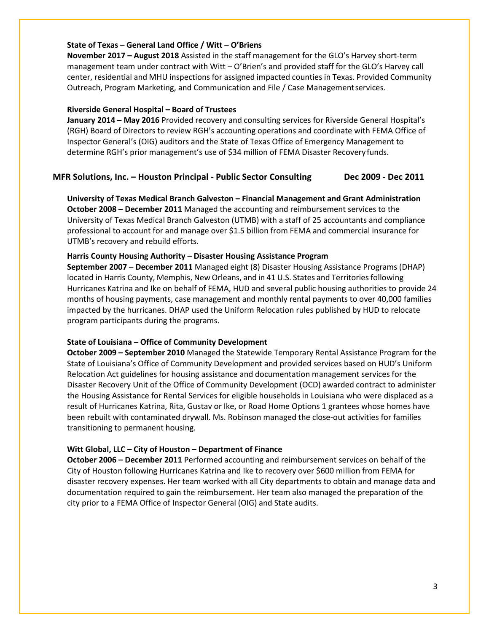#### **State of Texas – General Land Office / Witt – O'Briens**

**November 2017 – August 2018** Assisted in the staff management for the GLO's Harvey short-term management team under contract with Witt – O'Brien's and provided staff for the GLO's Harvey call center, residential and MHU inspections for assigned impacted counties in Texas. Provided Community Outreach, Program Marketing, and Communication and File / Case Managementservices.

#### **Riverside General Hospital – Board of Trustees**

**January 2014 – May 2016** Provided recovery and consulting services for Riverside General Hospital's (RGH) Board of Directors to review RGH's accounting operations and coordinate with FEMA Office of Inspector General's (OIG) auditors and the State of Texas Office of Emergency Management to determine RGH's prior management's use of \$34 million of FEMA Disaster Recovery funds.

#### **MFR Solutions, Inc. – Houston Principal - Public Sector Consulting Dec 2009 - Dec 2011**

**University of Texas Medical Branch Galveston – Financial Management and Grant Administration October 2008 – December 2011** Managed the accounting and reimbursement services to the University of Texas Medical Branch Galveston (UTMB) with a staff of 25 accountants and compliance professional to account for and manage over \$1.5 billion from FEMA and commercial insurance for UTMB's recovery and rebuild efforts.

### **Harris County Housing Authority – Disaster Housing Assistance Program**

**September 2007 – December 2011** Managed eight (8) Disaster Housing Assistance Programs (DHAP) located in Harris County, Memphis, New Orleans, and in 41 U.S. States and Territoriesfollowing Hurricanes Katrina and Ike on behalf of FEMA, HUD and several public housing authorities to provide 24 months of housing payments, case management and monthly rental payments to over 40,000 families impacted by the hurricanes. DHAP used the Uniform Relocation rules published by HUD to relocate program participants during the programs.

#### **State of Louisiana – Office of Community Development**

**October 2009 – September 2010** Managed the Statewide Temporary Rental Assistance Program for the State of Louisiana's Office of Community Development and provided services based on HUD's Uniform Relocation Act guidelines for housing assistance and documentation management services for the Disaster Recovery Unit of the Office of Community Development (OCD) awarded contract to administer the Housing Assistance for Rental Services for eligible households in Louisiana who were displaced as a result of Hurricanes Katrina, Rita, Gustav or Ike, or Road Home Options 1 grantees whose homes have been rebuilt with contaminated drywall. Ms. Robinson managed the close-out activities for families transitioning to permanent housing.

#### **Witt Global, LLC – City of Houston – Department of Finance**

**October 2006 – December 2011** Performed accounting and reimbursement services on behalf of the City of Houston following Hurricanes Katrina and Ike to recovery over \$600 million from FEMA for disaster recovery expenses. Her team worked with all City departments to obtain and manage data and documentation required to gain the reimbursement. Her team also managed the preparation of the city prior to a FEMA Office of Inspector General (OIG) and State audits.